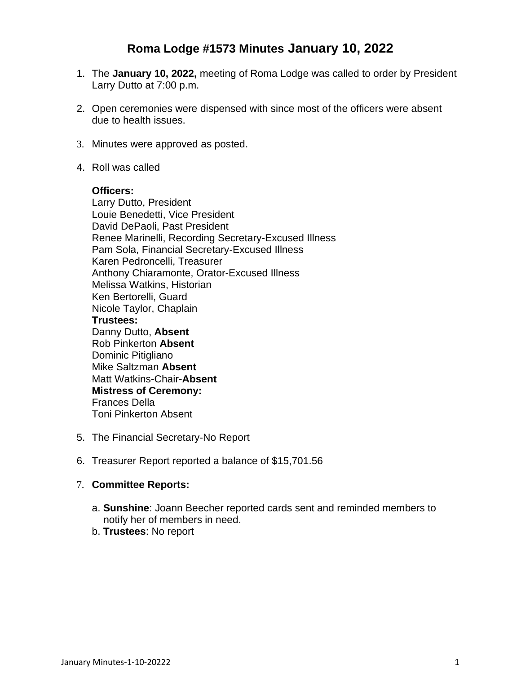# **Roma Lodge #1573 Minutes January 10, 2022**

- 1. The **January 10, 2022,** meeting of Roma Lodge was called to order by President Larry Dutto at 7:00 p.m.
- 2. Open ceremonies were dispensed with since most of the officers were absent due to health issues.
- 3. Minutes were approved as posted.
- 4. Roll was called

#### **Officers:**

Larry Dutto, President Louie Benedetti, Vice President David DePaoli, Past President Renee Marinelli, Recording Secretary-Excused Illness Pam Sola, Financial Secretary-Excused Illness Karen Pedroncelli, Treasurer Anthony Chiaramonte, Orator-Excused Illness Melissa Watkins, Historian Ken Bertorelli, Guard Nicole Taylor, Chaplain **Trustees:** Danny Dutto, **Absent** Rob Pinkerton **Absent** Dominic Pitigliano Mike Saltzman **Absent** Matt Watkins-Chair-**Absent Mistress of Ceremony:** Frances Della Toni Pinkerton Absent

- 5. The Financial Secretary-No Report
- 6. Treasurer Report reported a balance of \$15,701.56

# 7. **Committee Reports:**

- a. **Sunshine**: Joann Beecher reported cards sent and reminded members to notify her of members in need.
- b. **Trustees**: No report